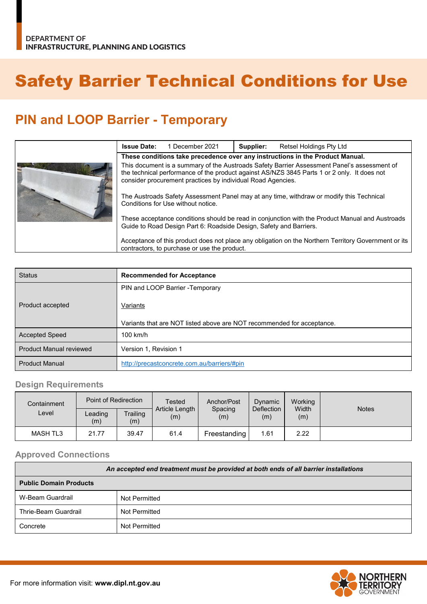# Safety Barrier Technical Conditions for Use

## **PIN and LOOP Barrier - Temporary**

|  | <b>Issue Date:</b>                                                                                                                                                                                                                                        | 1 December 2021 | Supplier: | Retsel Holdings Pty Ltd |
|--|-----------------------------------------------------------------------------------------------------------------------------------------------------------------------------------------------------------------------------------------------------------|-----------------|-----------|-------------------------|
|  | These conditions take precedence over any instructions in the Product Manual.                                                                                                                                                                             |                 |           |                         |
|  | This document is a summary of the Austroads Safety Barrier Assessment Panel's assessment of<br>the technical performance of the product against AS/NZS 3845 Parts 1 or 2 only. It does not<br>consider procurement practices by individual Road Agencies. |                 |           |                         |
|  | The Austroads Safety Assessment Panel may at any time, withdraw or modify this Technical<br>Conditions for Use without notice.                                                                                                                            |                 |           |                         |
|  | These acceptance conditions should be read in conjunction with the Product Manual and Austroads<br>Guide to Road Design Part 6: Roadside Design, Safety and Barriers.                                                                                     |                 |           |                         |
|  | Acceptance of this product does not place any obligation on the Northern Territory Government or its<br>contractors, to purchase or use the product.                                                                                                      |                 |           |                         |

| <b>Status</b>                  | <b>Recommended for Acceptance</b>                                      |
|--------------------------------|------------------------------------------------------------------------|
|                                | PIN and LOOP Barrier - Temporary                                       |
| Product accepted               | Variants                                                               |
|                                | Variants that are NOT listed above are NOT recommended for acceptance. |
| <b>Accepted Speed</b>          | $100$ km/h                                                             |
| <b>Product Manual reviewed</b> | Version 1, Revision 1                                                  |
| <b>Product Manual</b>          | http://precastconcrete.com.au/barriers/#pin                            |

### **Design Requirements**

| Containment     | Point of Redirection |                 | Tested<br>Article Length  <br>(m) | Anchor/Post<br>Spacing<br>(m) | Dynamic<br><b>Deflection</b><br>(m) | Working<br>Width<br>(m) | <b>Notes</b> |
|-----------------|----------------------|-----------------|-----------------------------------|-------------------------------|-------------------------------------|-------------------------|--------------|
| ∟evel           | Leading<br>(m)       | Trailing<br>(m) |                                   |                               |                                     |                         |              |
| <b>MASH TL3</b> | 21.77                | 39.47           | 61.4                              | Freestanding                  | 1.61                                | 2.22                    |              |

#### **Approved Connections**

| An accepted end treatment must be provided at both ends of all barrier installations |               |  |  |
|--------------------------------------------------------------------------------------|---------------|--|--|
| <b>Public Domain Products</b>                                                        |               |  |  |
| W-Beam Guardrail                                                                     | Not Permitted |  |  |
| Thrie-Beam Guardrail                                                                 | Not Permitted |  |  |
| Concrete                                                                             | Not Permitted |  |  |